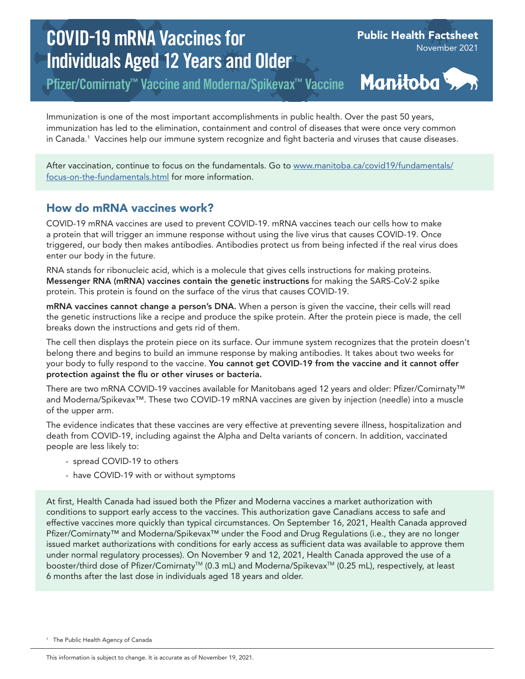# COVID-19 mRNA Vaccines for Individuals Aged 12 Years and Older

Pfizer/Comirnaty™ Vaccine and Moderna/Spikevax™ Vaccine

Manitoba >

Public Health Factsheet

November 2021

Immunization is one of the most important accomplishments in public health. Over the past 50 years, immunization has led to the elimination, containment and control of diseases that were once very common in Canada.1 Vaccines help our immune system recognize and fight bacteria and viruses that cause diseases.

After vaccination, continue to focus on the fundamentals. Go to [www.manitoba.ca/covid19/fundamentals/](https://www.manitoba.ca/covid19/fundamentals/focus-on-the-fundamentals.html) [focus-on-the-fundamentals.html](https://www.manitoba.ca/covid19/fundamentals/focus-on-the-fundamentals.html) for more information.

## How do mRNA vaccines work?

COVID-19 mRNA vaccines are used to prevent COVID-19. mRNA vaccines teach our cells how to make a protein that will trigger an immune response without using the live virus that causes COVID-19. Once triggered, our body then makes antibodies. Antibodies protect us from being infected if the real virus does enter our body in the future.

RNA stands for ribonucleic acid, which is a molecule that gives cells instructions for making proteins. Messenger RNA (mRNA) vaccines contain the genetic instructions for making the SARS-CoV-2 spike protein. This protein is found on the surface of the virus that causes COVID-19.

mRNA vaccines cannot change a person's DNA. When a person is given the vaccine, their cells will read the genetic instructions like a recipe and produce the spike protein. After the protein piece is made, the cell breaks down the instructions and gets rid of them.

The cell then displays the protein piece on its surface. Our immune system recognizes that the protein doesn't belong there and begins to build an immune response by making antibodies. It takes about two weeks for your body to fully respond to the vaccine. You cannot get COVID-19 from the vaccine and it cannot offer protection against the flu or other viruses or bacteria.

There are two mRNA COVID-19 vaccines available for Manitobans aged 12 years and older: Pfizer/Comirnaty™ and Moderna/Spikevax™. These two COVID-19 mRNA vaccines are given by injection (needle) into a muscle of the upper arm.

The evidence indicates that these vaccines are very effective at preventing severe illness, hospitalization and death from COVID-19, including against the Alpha and Delta variants of concern. In addition, vaccinated people are less likely to:

- spread COVID-19 to others
- have COVID-19 with or without symptoms

At first, Health Canada had issued both the Pfizer and Moderna vaccines a market authorization with conditions to support early access to the vaccines. This authorization gave Canadians access to safe and effective vaccines more quickly than typical circumstances. On September 16, 2021, Health Canada approved Pfizer/Comirnaty™ and Moderna/Spikevax™ under the Food and Drug Regulations (i.e., they are no longer issued market authorizations with conditions for early access as sufficient data was available to approve them under normal regulatory processes). On November 9 and 12, 2021, Health Canada approved the use of a booster/third dose of Pfizer/Comirnaty<sup>™</sup> (0.3 mL) and Moderna/Spikevax<sup>™</sup> (0.25 mL), respectively, at least 6 months after the last dose in individuals aged 18 years and older.

<sup>1</sup> The Public Health Agency of Canada

This information is subject to change. It is accurate as of November 19, 2021.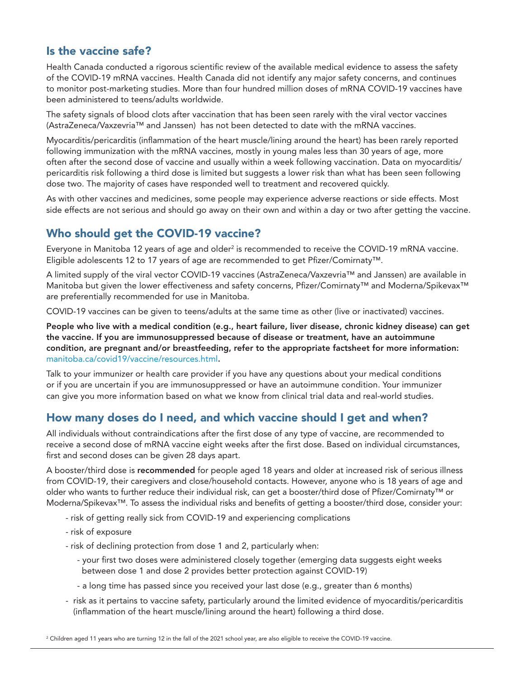### Is the vaccine safe?

Health Canada conducted a rigorous scientific review of the available medical evidence to assess the safety of the COVID-19 mRNA vaccines. Health Canada did not identify any major safety concerns, and continues to monitor post-marketing studies. More than four hundred million doses of mRNA COVID-19 vaccines have been administered to teens/adults worldwide.

The safety signals of blood clots after vaccination that has been seen rarely with the viral vector vaccines (AstraZeneca/Vaxzevria™ and Janssen) has not been detected to date with the mRNA vaccines.

Myocarditis/pericarditis (inflammation of the heart muscle/lining around the heart) has been rarely reported following immunization with the mRNA vaccines, mostly in young males less than 30 years of age, more often after the second dose of vaccine and usually within a week following vaccination. Data on myocarditis/ pericarditis risk following a third dose is limited but suggests a lower risk than what has been seen following dose two. The majority of cases have responded well to treatment and recovered quickly.

As with other vaccines and medicines, some people may experience adverse reactions or side effects. Most side effects are not serious and should go away on their own and within a day or two after getting the vaccine.

## Who should get the COVID-19 vaccine?

Everyone in Manitoba 12 years of age and older $^2$  is recommended to receive the COVID-19 mRNA vaccine. Eligible adolescents 12 to 17 years of age are recommended to get Pfizer/Comirnaty™.

A limited supply of the viral vector COVID-19 vaccines (AstraZeneca/Vaxzevria™ and Janssen) are available in Manitoba but given the lower effectiveness and safety concerns, Pfizer/Comirnaty™ and Moderna/Spikevax™ are preferentially recommended for use in Manitoba.

COVID-19 vaccines can be given to teens/adults at the same time as other (live or inactivated) vaccines.

People who live with a medical condition (e.g., heart failure, liver disease, chronic kidney disease) can get the vaccine. If you are immunosuppressed because of disease or treatment, have an autoimmune condition, are pregnant and/or breastfeeding, refer to the appropriate factsheet for more information: [manitoba.ca/covid19/vaccine/resources.html](https://www.manitoba.ca/covid19/vaccine/resources.html).

Talk to your immunizer or health care provider if you have any questions about your medical conditions or if you are uncertain if you are immunosuppressed or have an autoimmune condition. Your immunizer can give you more information based on what we know from clinical trial data and real-world studies.

## How many doses do I need, and which vaccine should I get and when?

All individuals without contraindications after the first dose of any type of vaccine, are recommended to receive a second dose of mRNA vaccine eight weeks after the first dose. Based on individual circumstances, first and second doses can be given 28 days apart.

A booster/third dose is recommended for people aged 18 years and older at increased risk of serious illness from COVID-19, their caregivers and close/household contacts. However, anyone who is 18 years of age and older who wants to further reduce their individual risk, can get a booster/third dose of Pfizer/Comirnaty™ or Moderna/Spikevax™. To assess the individual risks and benefits of getting a booster/third dose, consider your:

- risk of getting really sick from COVID-19 and experiencing complications
- risk of exposure
- risk of declining protection from dose 1 and 2, particularly when:
	- your first two doses were administered closely together (emerging data suggests eight weeks between dose 1 and dose 2 provides better protection against COVID-19)
	- a long time has passed since you received your last dose (e.g., greater than 6 months)
- risk as it pertains to vaccine safety, particularly around the limited evidence of myocarditis/pericarditis (inflammation of the heart muscle/lining around the heart) following a third dose.

 $^2$  Children aged 11 years who are turning 12 in the fall of the 2021 school year, are also eligible to receive the COVID-19 vaccine.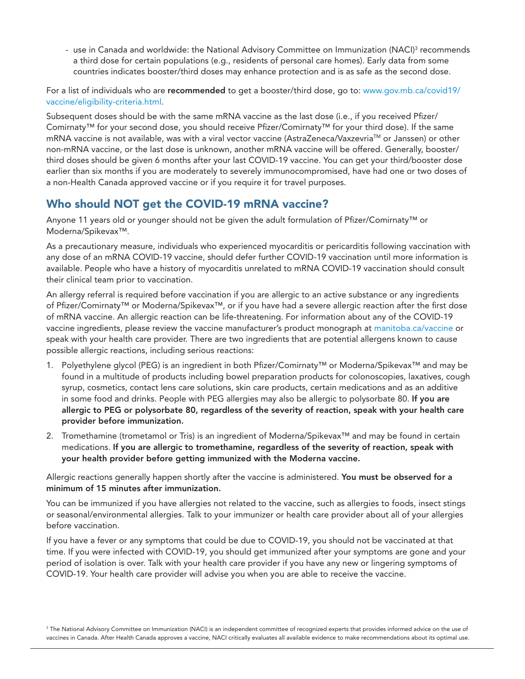- use in Canada and worldwide: the National Advisory Committee on Immunization (NACI)<sup>3</sup> recommends a third dose for certain populations (e.g., residents of personal care homes). Early data from some countries indicates booster/third doses may enhance protection and is as safe as the second dose.

For a list of individuals who are recommended to get a booster/third dose, go to: [www.gov.mb.ca/covid19/](https://www.gov.mb.ca/covid19/vaccine/eligibility-criteria.html) [vaccine/eligibility-criteria.html](https://www.gov.mb.ca/covid19/vaccine/eligibility-criteria.html).

Subsequent doses should be with the same mRNA vaccine as the last dose (i.e., if you received Pfizer/ Comirnaty™ for your second dose, you should receive Pfizer/Comirnaty™ for your third dose). If the same mRNA vaccine is not available, was with a viral vector vaccine (AstraZeneca/Vaxzevria™ or Janssen) or other non-mRNA vaccine, or the last dose is unknown, another mRNA vaccine will be offered. Generally, booster/ third doses should be given 6 months after your last COVID-19 vaccine. You can get your third/booster dose earlier than six months if you are moderately to severely immunocompromised, have had one or two doses of a non-Health Canada approved vaccine or if you require it for travel purposes.

## Who should NOT get the COVID-19 mRNA vaccine?

Anyone 11 years old or younger should not be given the adult formulation of Pfizer/Comirnaty™ or Moderna/Spikevax™.

As a precautionary measure, individuals who experienced myocarditis or pericarditis following vaccination with any dose of an mRNA COVID-19 vaccine, should defer further COVID-19 vaccination until more information is available. People who have a history of myocarditis unrelated to mRNA COVID-19 vaccination should consult their clinical team prior to vaccination.

An allergy referral is required before vaccination if you are allergic to an active substance or any ingredients of Pfizer/Comirnaty™ or Moderna/Spikevax™, or if you have had a severe allergic reaction after the first dose of mRNA vaccine. An allergic reaction can be life-threatening. For information about any of the COVID-19 vaccine ingredients, please review the vaccine manufacturer's product monograph at [manitoba.ca/vaccine](https://manitoba.ca/covid19/vaccine/index.html) or speak with your health care provider. There are two ingredients that are potential allergens known to cause possible allergic reactions, including serious reactions:

- 1. Polyethylene glycol (PEG) is an ingredient in both Pfizer/Comirnaty™ or Moderna/Spikevax™ and may be found in a multitude of products including bowel preparation products for colonoscopies, laxatives, cough syrup, cosmetics, contact lens care solutions, skin care products, certain medications and as an additive in some food and drinks. People with PEG allergies may also be allergic to polysorbate 80. If you are allergic to PEG or polysorbate 80, regardless of the severity of reaction, speak with your health care provider before immunization.
- 2. Tromethamine (trometamol or Tris) is an ingredient of Moderna/Spikevax™ and may be found in certain medications. If you are allergic to tromethamine, regardless of the severity of reaction, speak with your health provider before getting immunized with the Moderna vaccine.

#### Allergic reactions generally happen shortly after the vaccine is administered. You must be observed for a minimum of 15 minutes after immunization.

You can be immunized if you have allergies not related to the vaccine, such as allergies to foods, insect stings or seasonal/environmental allergies. Talk to your immunizer or health care provider about all of your allergies before vaccination.

If you have a fever or any symptoms that could be due to COVID-19, you should not be vaccinated at that time. If you were infected with COVID-19, you should get immunized after your symptoms are gone and your period of isolation is over. Talk with your health care provider if you have any new or lingering symptoms of COVID-19. Your health care provider will advise you when you are able to receive the vaccine.

3 The National Advisory Committee on Immunization (NACI) is an independent committee of recognized experts that provides informed advice on the use of vaccines in Canada. After Health Canada approves a vaccine, NACI critically evaluates all available evidence to make recommendations about its optimal use.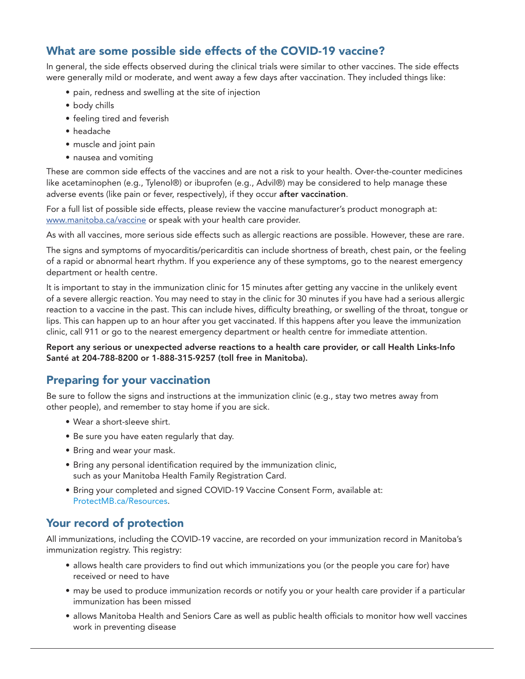## What are some possible side effects of the COVID-19 vaccine?

In general, the side effects observed during the clinical trials were similar to other vaccines. The side effects were generally mild or moderate, and went away a few days after vaccination. They included things like:

- pain, redness and swelling at the site of injection
- body chills
- feeling tired and feverish
- headache
- muscle and joint pain
- nausea and vomiting

These are common side effects of the vaccines and are not a risk to your health. Over-the-counter medicines like acetaminophen (e.g., Tylenol®) or ibuprofen (e.g., Advil®) may be considered to help manage these adverse events (like pain or fever, respectively), if they occur after vaccination.

For a full list of possible side effects, please review the vaccine manufacturer's product monograph at: [www.manitoba.ca/vaccine](https://www.manitoba.ca/vaccine) or speak with your health care provider.

As with all vaccines, more serious side effects such as allergic reactions are possible. However, these are rare.

The signs and symptoms of myocarditis/pericarditis can include shortness of breath, chest pain, or the feeling of a rapid or abnormal heart rhythm. If you experience any of these symptoms, go to the nearest emergency department or health centre.

It is important to stay in the immunization clinic for 15 minutes after getting any vaccine in the unlikely event of a severe allergic reaction. You may need to stay in the clinic for 30 minutes if you have had a serious allergic reaction to a vaccine in the past. This can include hives, difficulty breathing, or swelling of the throat, tongue or lips. This can happen up to an hour after you get vaccinated. If this happens after you leave the immunization clinic, call 911 or go to the nearest emergency department or health centre for immediate attention.

Report any serious or unexpected adverse reactions to a health care provider, or call Health Links-Info Santé at 204-788-8200 or 1-888-315-9257 (toll free in Manitoba).

## Preparing for your vaccination

Be sure to follow the signs and instructions at the immunization clinic (e.g., stay two metres away from other people), and remember to stay home if you are sick.

- Wear a short-sleeve shirt.
- Be sure you have eaten regularly that day.
- Bring and wear your mask.
- Bring any personal identification required by the immunization clinic, such as your Manitoba Health Family Registration Card.
- Bring your completed and signed COVID-19 Vaccine Consent Form, available at: [ProtectMB.ca/Resources](http://ProtectMB.ca/Resources).

## Your record of protection

All immunizations, including the COVID-19 vaccine, are recorded on your immunization record in Manitoba's immunization registry. This registry:

- allows health care providers to find out which immunizations you (or the people you care for) have received or need to have
- may be used to produce immunization records or notify you or your health care provider if a particular immunization has been missed
- allows Manitoba Health and Seniors Care as well as public health officials to monitor how well vaccines work in preventing disease